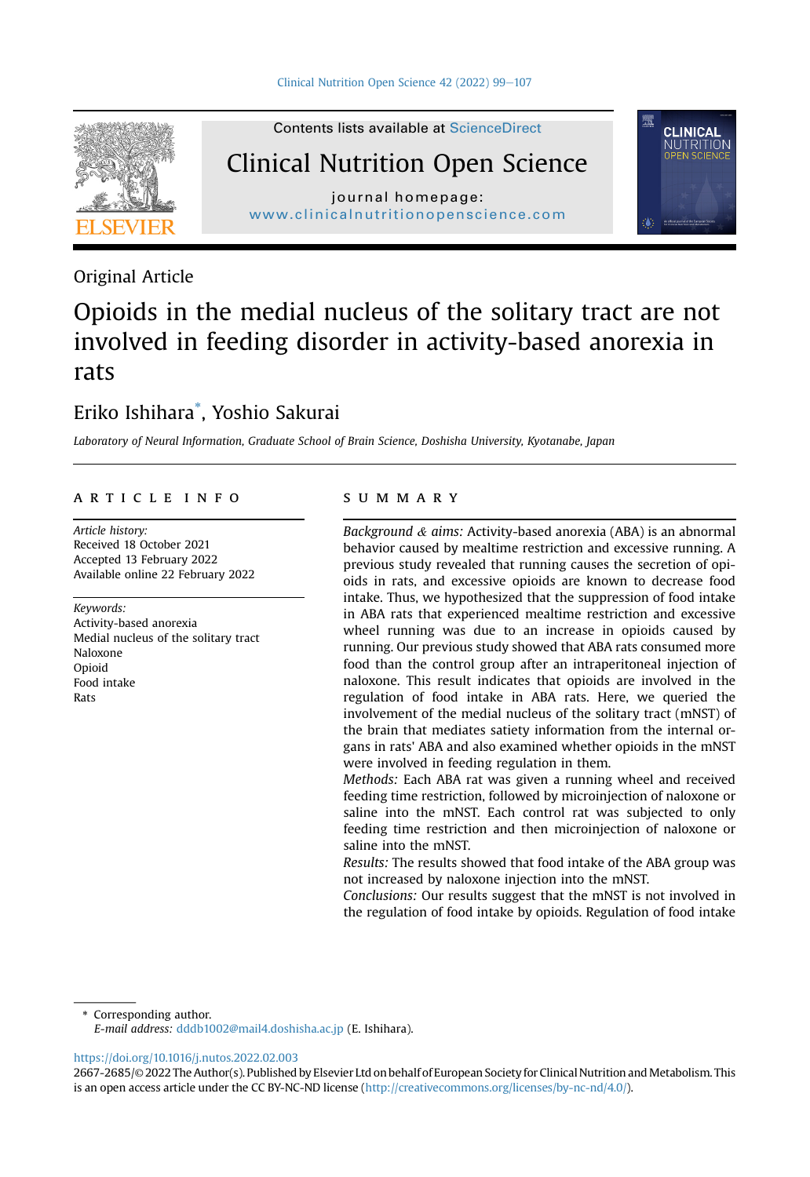Contents lists available at ScienceDirect



Clinical Nutrition Open Science

[journal](http://www.clinicalnutritionopenscience.com) [homepage:](http://www.clinicalnutritionopenscience.com)<br>www.clinicalnutritionopenscience.com ww.clinicalnutritionopenscience.com



## Original Article

# Opioids in the medial nucleus of the solitary tract are not involved in feeding disorder in activity-based anorexia in rats

## Eriko Ishihara\* , Yoshio Sakurai

Laboratory of Neural Information, Graduate School of Brain Science, Doshisha University, Kyotanabe, Japan

#### article info

Article history: Received 18 October 2021 Accepted 13 February 2022 Available online 22 February 2022

#### Keywords:

Activity-based anorexia Medial nucleus of the solitary tract Naloxone Opioid Food intake Rats

#### SUMMARY

Background & aims: Activity-based anorexia (ABA) is an abnormal behavior caused by mealtime restriction and excessive running. A previous study revealed that running causes the secretion of opioids in rats, and excessive opioids are known to decrease food intake. Thus, we hypothesized that the suppression of food intake in ABA rats that experienced mealtime restriction and excessive wheel running was due to an increase in opioids caused by running. Our previous study showed that ABA rats consumed more food than the control group after an intraperitoneal injection of naloxone. This result indicates that opioids are involved in the regulation of food intake in ABA rats. Here, we queried the involvement of the medial nucleus of the solitary tract (mNST) of the brain that mediates satiety information from the internal organs in rats' ABA and also examined whether opioids in the mNST were involved in feeding regulation in them.

Methods: Each ABA rat was given a running wheel and received feeding time restriction, followed by microinjection of naloxone or saline into the mNST. Each control rat was subjected to only feeding time restriction and then microinjection of naloxone or saline into the mNST.

Results: The results showed that food intake of the ABA group was not increased by naloxone injection into the mNST.

Conclusions: Our results suggest that the mNST is not involved in the regulation of food intake by opioids. Regulation of food intake

\* Corresponding author.

E-mail address: [dddb1002@mail4.doshisha.ac.jp](mailto:dddb1002@mail4.doshisha.ac.jp) (E. Ishihara).

<https://doi.org/10.1016/j.nutos.2022.02.003>

<sup>2667-2685/</sup>© 2022 The Author(s). Published by Elsevier Ltd on behalf of European Society for Clinical Nutrition and Metabolism. This is an open access article under the CC BY-NC-ND license [\(http://creativecommons.org/licenses/by-nc-nd/4.0/](http://creativecommons.org/licenses/by-nc-nd/4.0/)).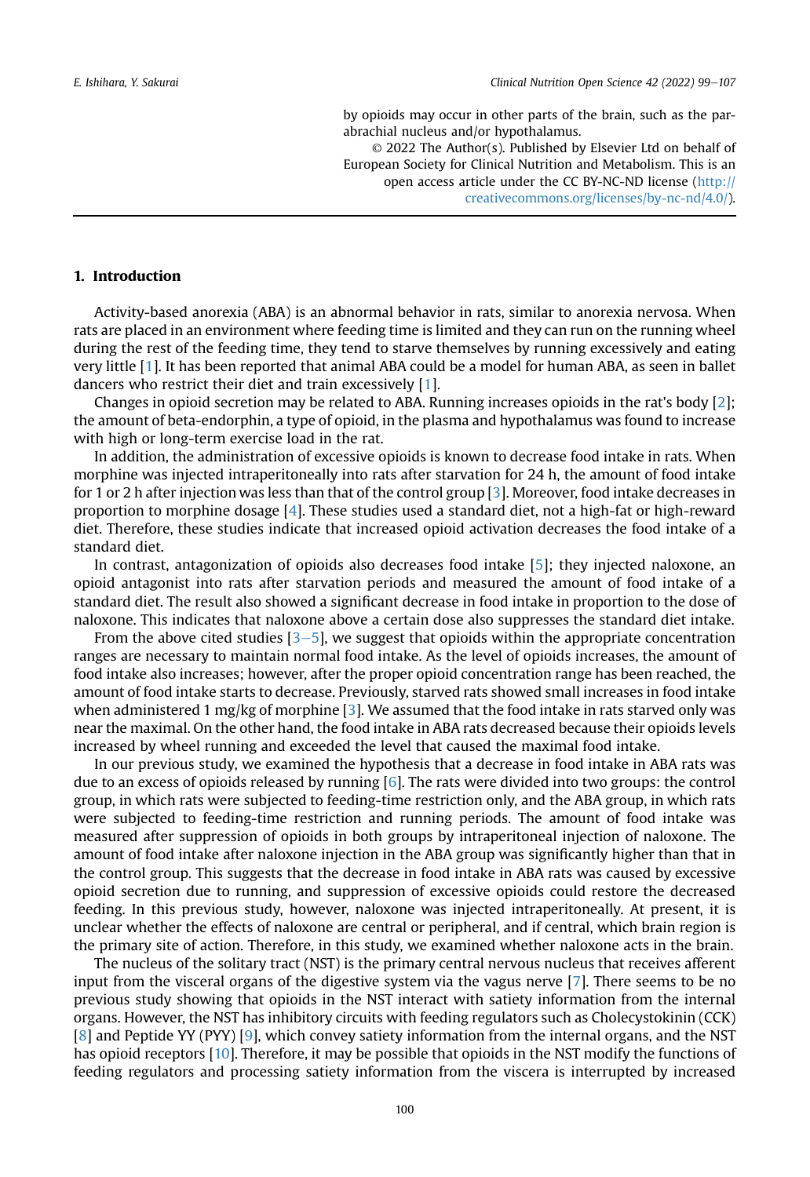by opioids may occur in other parts of the brain, such as the parabrachial nucleus and/or hypothalamus. © 2022 The Author(s). Published by Elsevier Ltd on behalf of

European Society for Clinical Nutrition and Metabolism. This is an open access article under the CC BY-NC-ND license ([http://](http://creativecommons.org/licenses/by-nc-nd/4.0/) [creativecommons.org/licenses/by-nc-nd/4.0/\)](http://creativecommons.org/licenses/by-nc-nd/4.0/).

#### 1. Introduction

Activity-based anorexia (ABA) is an abnormal behavior in rats, similar to anorexia nervosa. When rats are placed in an environment where feeding time is limited and they can run on the running wheel during the rest of the feeding time, they tend to starve themselves by running excessively and eating very little [[1\]](#page-8-0). It has been reported that animal ABA could be a model for human ABA, as seen in ballet dancers who restrict their diet and train excessively [[1\]](#page-8-0).

Changes in opioid secretion may be related to ABA. Running increases opioids in the rat's body [[2](#page-8-1)]; the amount of beta-endorphin, a type of opioid, in the plasma and hypothalamus was found to increase with high or long-term exercise load in the rat.

In addition, the administration of excessive opioids is known to decrease food intake in rats. When morphine was injected intraperitoneally into rats after starvation for 24 h, the amount of food intake for 1 or 2 h after injection was less than that of the control group [[3](#page-8-2)]. Moreover, food intake decreases in proportion to morphine dosage [[4\]](#page-8-3). These studies used a standard diet, not a high-fat or high-reward diet. Therefore, these studies indicate that increased opioid activation decreases the food intake of a standard diet.

In contrast, antagonization of opioids also decreases food intake [\[5](#page-8-4)]; they injected naloxone, an opioid antagonist into rats after starvation periods and measured the amount of food intake of a standard diet. The result also showed a significant decrease in food intake in proportion to the dose of naloxone. This indicates that naloxone above a certain dose also suppresses the standard diet intake.

From the above cited studies  $[3-5]$  $[3-5]$  $[3-5]$  $[3-5]$ , we suggest that opioids within the appropriate concentration ranges are necessary to maintain normal food intake. As the level of opioids increases, the amount of food intake also increases; however, after the proper opioid concentration range has been reached, the amount of food intake starts to decrease. Previously, starved rats showed small increases in food intake when administered 1 mg/kg of morphine [[3\]](#page-8-2). We assumed that the food intake in rats starved only was near the maximal. On the other hand, the food intake in ABA rats decreased because their opioids levels increased by wheel running and exceeded the level that caused the maximal food intake.

In our previous study, we examined the hypothesis that a decrease in food intake in ABA rats was due to an excess of opioids released by running [\[6](#page-8-5)]. The rats were divided into two groups: the control group, in which rats were subjected to feeding-time restriction only, and the ABA group, in which rats were subjected to feeding-time restriction and running periods. The amount of food intake was measured after suppression of opioids in both groups by intraperitoneal injection of naloxone. The amount of food intake after naloxone injection in the ABA group was significantly higher than that in the control group. This suggests that the decrease in food intake in ABA rats was caused by excessive opioid secretion due to running, and suppression of excessive opioids could restore the decreased feeding. In this previous study, however, naloxone was injected intraperitoneally. At present, it is unclear whether the effects of naloxone are central or peripheral, and if central, which brain region is the primary site of action. Therefore, in this study, we examined whether naloxone acts in the brain.

The nucleus of the solitary tract (NST) is the primary central nervous nucleus that receives afferent input from the visceral organs of the digestive system via the vagus nerve [[7\]](#page-8-6). There seems to be no previous study showing that opioids in the NST interact with satiety information from the internal organs. However, the NST has inhibitory circuits with feeding regulators such as Cholecystokinin (CCK) [\[8](#page-8-7)] and Peptide YY (PYY) [\[9](#page-8-8)], which convey satiety information from the internal organs, and the NST has opioid receptors [[10\]](#page-8-9). Therefore, it may be possible that opioids in the NST modify the functions of feeding regulators and processing satiety information from the viscera is interrupted by increased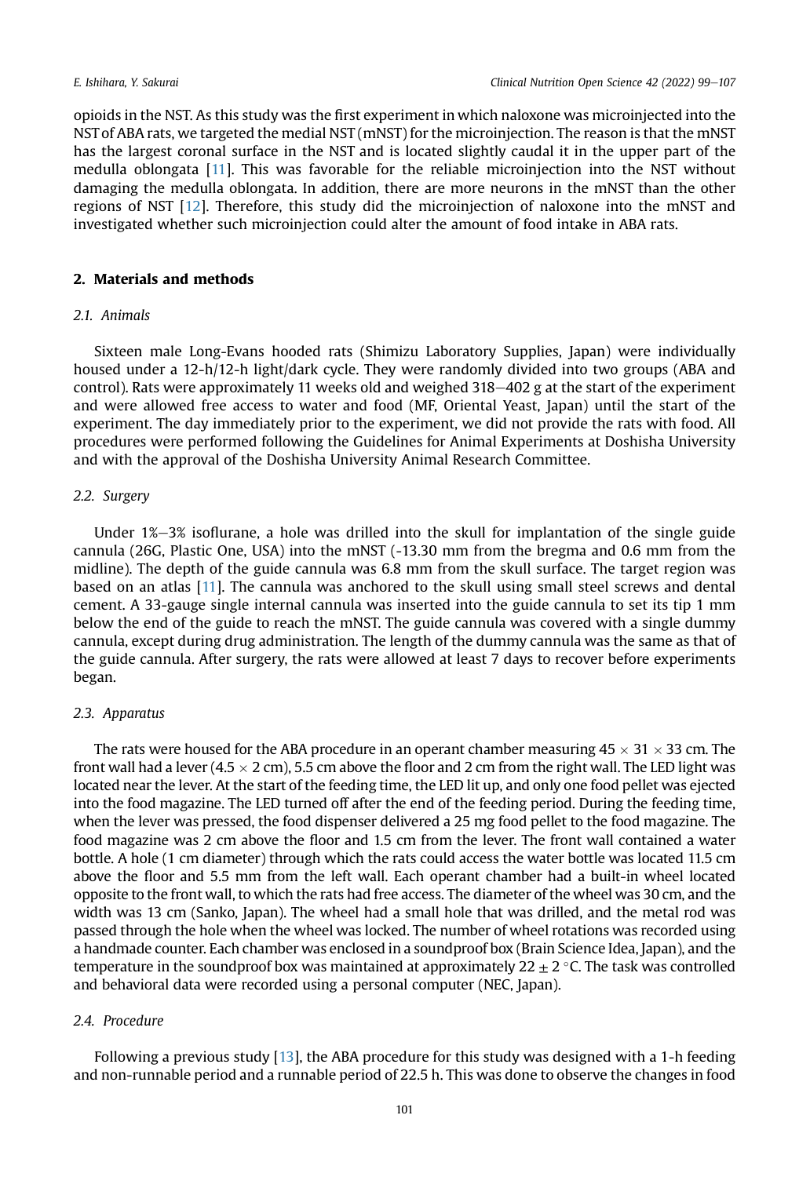opioids in the NST. As this study was the first experiment in which naloxone was microinjected into the NST of ABA rats, we targeted the medial NST (mNST) for the microinjection. The reason is that the mNST has the largest coronal surface in the NST and is located slightly caudal it in the upper part of the medulla oblongata [\[11\]](#page-8-10). This was favorable for the reliable microinjection into the NST without damaging the medulla oblongata. In addition, there are more neurons in the mNST than the other regions of NST [[12](#page-8-11)]. Therefore, this study did the microinjection of naloxone into the mNST and investigated whether such microinjection could alter the amount of food intake in ABA rats.

#### <span id="page-2-0"></span>2. Materials and methods

#### 2.1 Animals

Sixteen male Long-Evans hooded rats (Shimizu Laboratory Supplies, Japan) were individually housed under a 12-h/12-h light/dark cycle. They were randomly divided into two groups (ABA and control). Rats were approximately 11 weeks old and weighed  $318-402$  g at the start of the experiment and were allowed free access to water and food (MF, Oriental Yeast, Japan) until the start of the experiment. The day immediately prior to the experiment, we did not provide the rats with food. All procedures were performed following the Guidelines for Animal Experiments at Doshisha University and with the approval of the Doshisha University Animal Research Committee.

#### 2.2. Surgery

Under  $1\% - 3\%$  isoflurane, a hole was drilled into the skull for implantation of the single guide cannula (26G, Plastic One, USA) into the mNST (-13.30 mm from the bregma and 0.6 mm from the midline). The depth of the guide cannula was 6.8 mm from the skull surface. The target region was based on an atlas [[11](#page-8-10)]. The cannula was anchored to the skull using small steel screws and dental cement. A 33-gauge single internal cannula was inserted into the guide cannula to set its tip 1 mm below the end of the guide to reach the mNST. The guide cannula was covered with a single dummy cannula, except during drug administration. The length of the dummy cannula was the same as that of the guide cannula. After surgery, the rats were allowed at least 7 days to recover before experiments began.

#### 2.3. Apparatus

The rats were housed for the ABA procedure in an operant chamber measuring  $45 \times 31 \times 33$  cm. The front wall had a lever (4.5  $\times$  2 cm), 5.5 cm above the floor and 2 cm from the right wall. The LED light was located near the lever. At the start of the feeding time, the LED lit up, and only one food pellet was ejected into the food magazine. The LED turned off after the end of the feeding period. During the feeding time, when the lever was pressed, the food dispenser delivered a 25 mg food pellet to the food magazine. The food magazine was 2 cm above the floor and 1.5 cm from the lever. The front wall contained a water bottle. A hole (1 cm diameter) through which the rats could access the water bottle was located 11.5 cm above the floor and 5.5 mm from the left wall. Each operant chamber had a built-in wheel located opposite to the front wall, to which the rats had free access. The diameter of the wheel was 30 cm, and the width was 13 cm (Sanko, Japan). The wheel had a small hole that was drilled, and the metal rod was passed through the hole when the wheel was locked. The number of wheel rotations was recorded using a handmade counter. Each chamber was enclosed in a soundproof box (Brain Science Idea, Japan), and the temperature in the soundproof box was maintained at approximately  $22 \pm 2$  °C. The task was controlled and behavioral data were recorded using a personal computer (NEC, Japan).

### 2.4. Procedure

Following a previous study [\[13](#page-8-12)], the ABA procedure for this study was designed with a 1-h feeding and non-runnable period and a runnable period of 22.5 h. This was done to observe the changes in food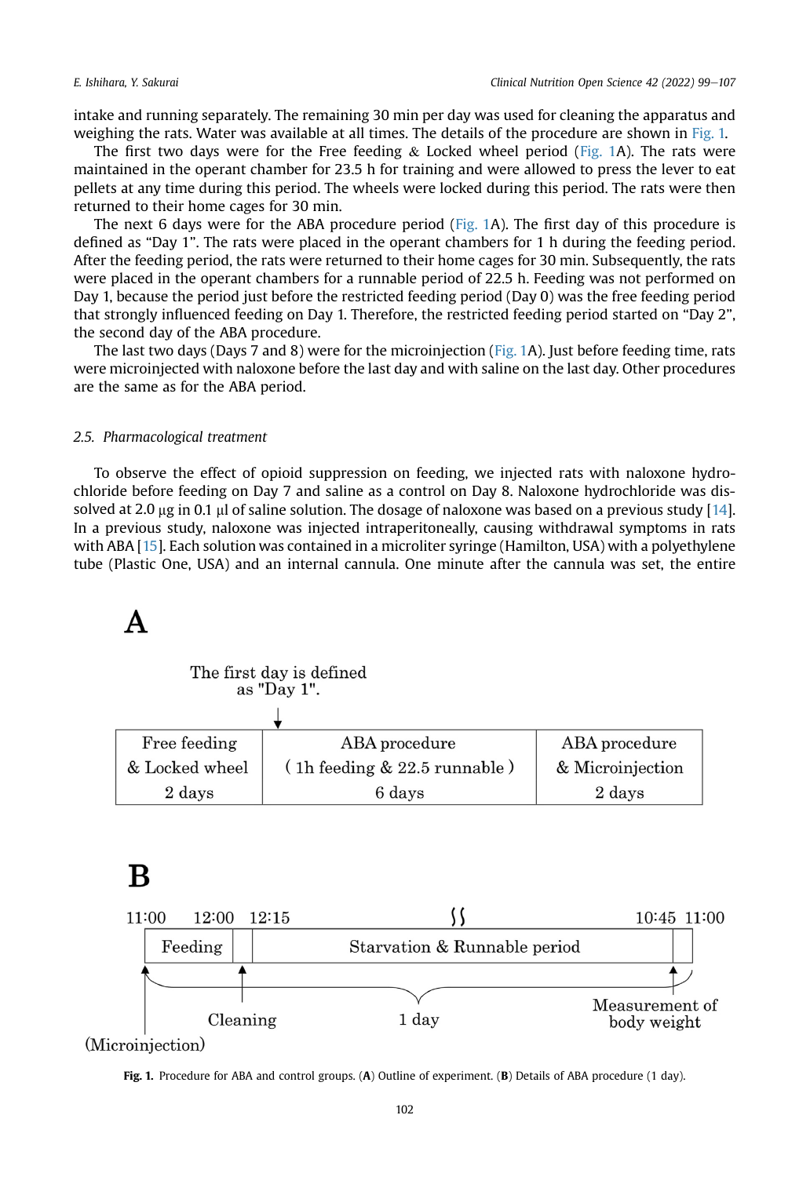intake and running separately. The remaining 30 min per day was used for cleaning the apparatus and weighing the rats. Water was available at all times. The details of the procedure are shown in [Fig. 1.](#page-3-0)

The first two days were for the Free feeding  $\&$  Locked wheel period [\(Fig. 1](#page-3-0)A). The rats were maintained in the operant chamber for 23.5 h for training and were allowed to press the lever to eat pellets at any time during this period. The wheels were locked during this period. The rats were then returned to their home cages for 30 min.

The next 6 days were for the ABA procedure period [\(Fig. 1A](#page-3-0)). The first day of this procedure is defined as "Day 1". The rats were placed in the operant chambers for 1 h during the feeding period. After the feeding period, the rats were returned to their home cages for 30 min. Subsequently, the rats were placed in the operant chambers for a runnable period of 22.5 h. Feeding was not performed on Day 1, because the period just before the restricted feeding period (Day 0) was the free feeding period that strongly influenced feeding on Day 1. Therefore, the restricted feeding period started on "Day 2", the second day of the ABA procedure.

The last two days (Days 7 and 8) were for the microinjection ([Fig. 1A](#page-3-0)). Just before feeding time, rats were microinjected with naloxone before the last day and with saline on the last day. Other procedures are the same as for the ABA period.

#### 2.5. Pharmacological treatment

<span id="page-3-0"></span>To observe the effect of opioid suppression on feeding, we injected rats with naloxone hydrochloride before feeding on Day 7 and saline as a control on Day 8. Naloxone hydrochloride was dissolved at 2.0  $\mu$ g in 0.1  $\mu$  of saline solution. The dosage of naloxone was based on a previous study [\[14](#page-8-13)]. In a previous study, naloxone was injected intraperitoneally, causing withdrawal symptoms in rats with ABA [\[15](#page-8-14)]. Each solution was contained in a microliter syringe (Hamilton, USA) with a polyethylene tube (Plastic One, USA) and an internal cannula. One minute after the cannula was set, the entire

| The first day is defined |                |  |  |
|--------------------------|----------------|--|--|
|                          | as "Day $1$ ". |  |  |

| Free feeding   | ABA procedure                    | ABA procedure    |
|----------------|----------------------------------|------------------|
| & Locked wheel | $(1h$ feeding $& 22.5$ runnable) | & Microinjection |
| 2 days         | 6 days                           | 2 days           |

## $\bf{B}$



(Microinjection)

Fig. 1. Procedure for ABA and control groups. (A) Outline of experiment. (B) Details of ABA procedure (1 day).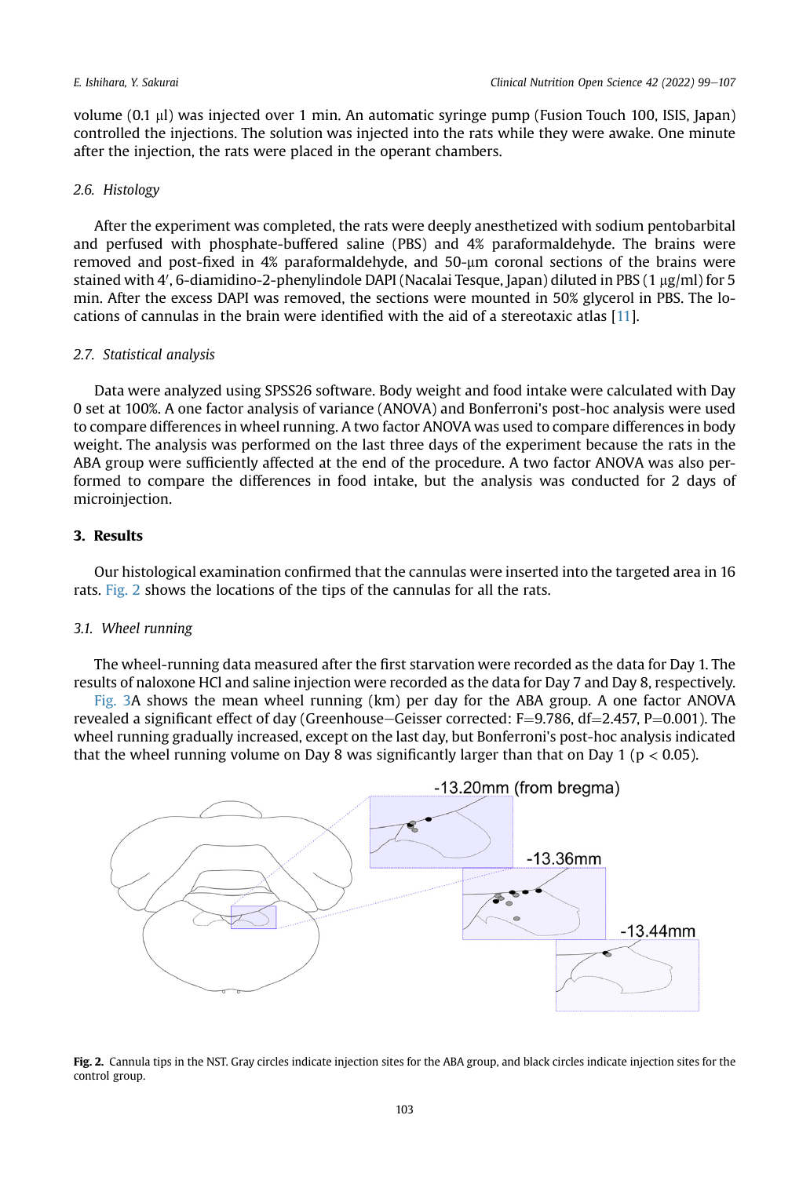volume (0.1 ml) was injected over 1 min. An automatic syringe pump (Fusion Touch 100, ISIS, Japan) controlled the injections. The solution was injected into the rats while they were awake. One minute after the injection, the rats were placed in the operant chambers.

#### 2.6. Histology

After the experiment was completed, the rats were deeply anesthetized with sodium pentobarbital and perfused with phosphate-buffered saline (PBS) and 4% paraformaldehyde. The brains were removed and post-fixed in 4% paraformaldehyde, and 50-um coronal sections of the brains were stained with 4', 6-diamidino-2-phenylindole DAPI (Nacalai Tesque, Japan) diluted in PBS (1  $\mu$ g/ml) for 5 min. After the excess DAPI was removed, the sections were mounted in 50% glycerol in PBS. The locations of cannulas in the brain were identified with the aid of a stereotaxic atlas [\[11\]](#page-8-10).

#### 2.7. Statistical analysis

Data were analyzed using SPSS26 software. Body weight and food intake were calculated with Day 0 set at 100%. A one factor analysis of variance (ANOVA) and Bonferroni's post-hoc analysis were used to compare differences in wheel running. A two factor ANOVA was used to compare differences in body weight. The analysis was performed on the last three days of the experiment because the rats in the ABA group were sufficiently affected at the end of the procedure. A two factor ANOVA was also performed to compare the differences in food intake, but the analysis was conducted for 2 days of microinjection.

### 3. Results

Our histological examination confirmed that the cannulas were inserted into the targeted area in 16 rats. [Fig. 2](#page-4-0) shows the locations of the tips of the cannulas for all the rats.

#### 3.1. Wheel running

The wheel-running data measured after the first starvation were recorded as the data for Day 1. The results of naloxone HCl and saline injection were recorded as the data for Day 7 and Day 8, respectively.

[Fig. 3A](#page-5-0) shows the mean wheel running (km) per day for the ABA group. A one factor ANOVA revealed a significant effect of day (Greenhouse–Geisser corrected:  $F=9.786$ , df $=2.457$ , P $=0.001$ ). The wheel running gradually increased, except on the last day, but Bonferroni's post-hoc analysis indicated that the wheel running volume on Day 8 was significantly larger than that on Day 1 ( $p < 0.05$ ).

<span id="page-4-0"></span>

Fig. 2. Cannula tips in the NST. Gray circles indicate injection sites for the ABA group, and black circles indicate injection sites for the control group.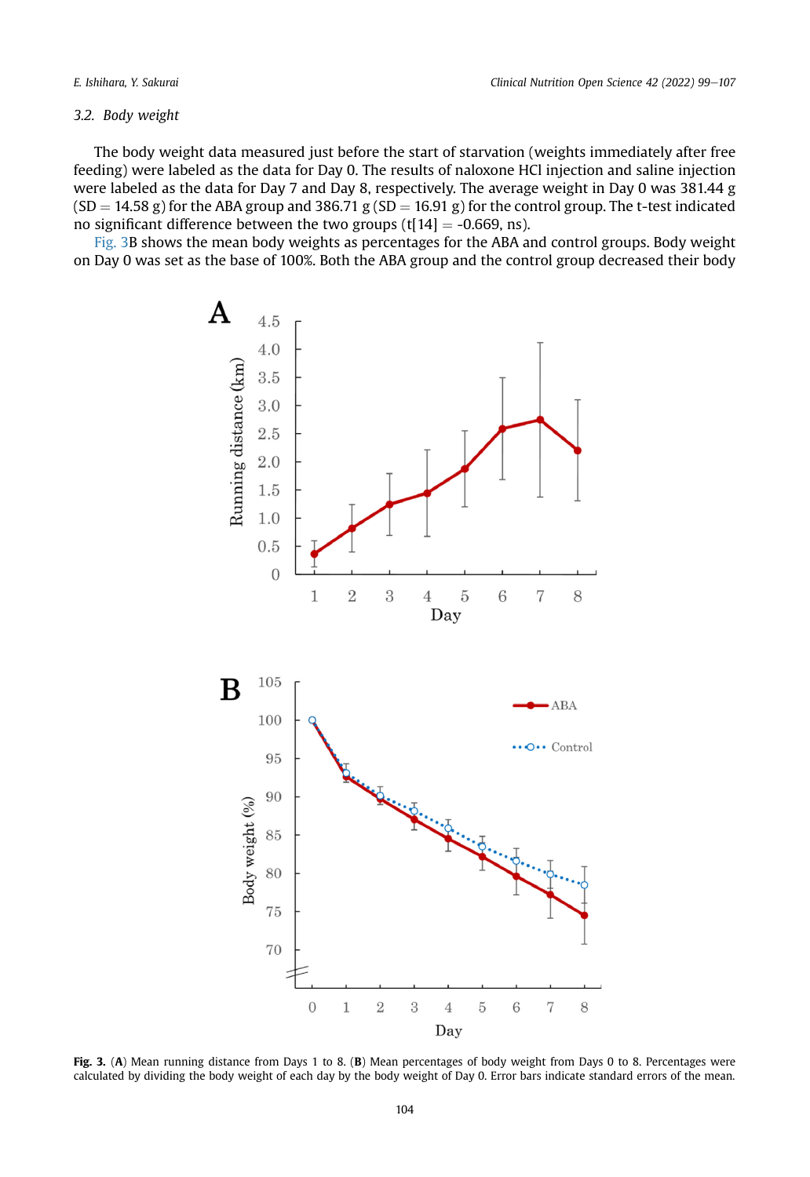#### 3.2. Body weight

The body weight data measured just before the start of starvation (weights immediately after free feeding) were labeled as the data for Day 0. The results of naloxone HCl injection and saline injection were labeled as the data for Day 7 and Day 8, respectively. The average weight in Day 0 was 381.44 g  $(SD = 14.58 \text{ g})$  for the ABA group and 386.71 g  $(SD = 16.91 \text{ g})$  for the control group. The t-test indicated no significant difference between the two groups  $(t[14] = -0.669, ns)$ .

<span id="page-5-0"></span>[Fig. 3](#page-5-0)B shows the mean body weights as percentages for the ABA and control groups. Body weight on Day 0 was set as the base of 100%. Both the ABA group and the control group decreased their body



Fig. 3. (A) Mean running distance from Days 1 to 8. (B) Mean percentages of body weight from Days 0 to 8. Percentages were calculated by dividing the body weight of each day by the body weight of Day 0. Error bars indicate standard errors of the mean.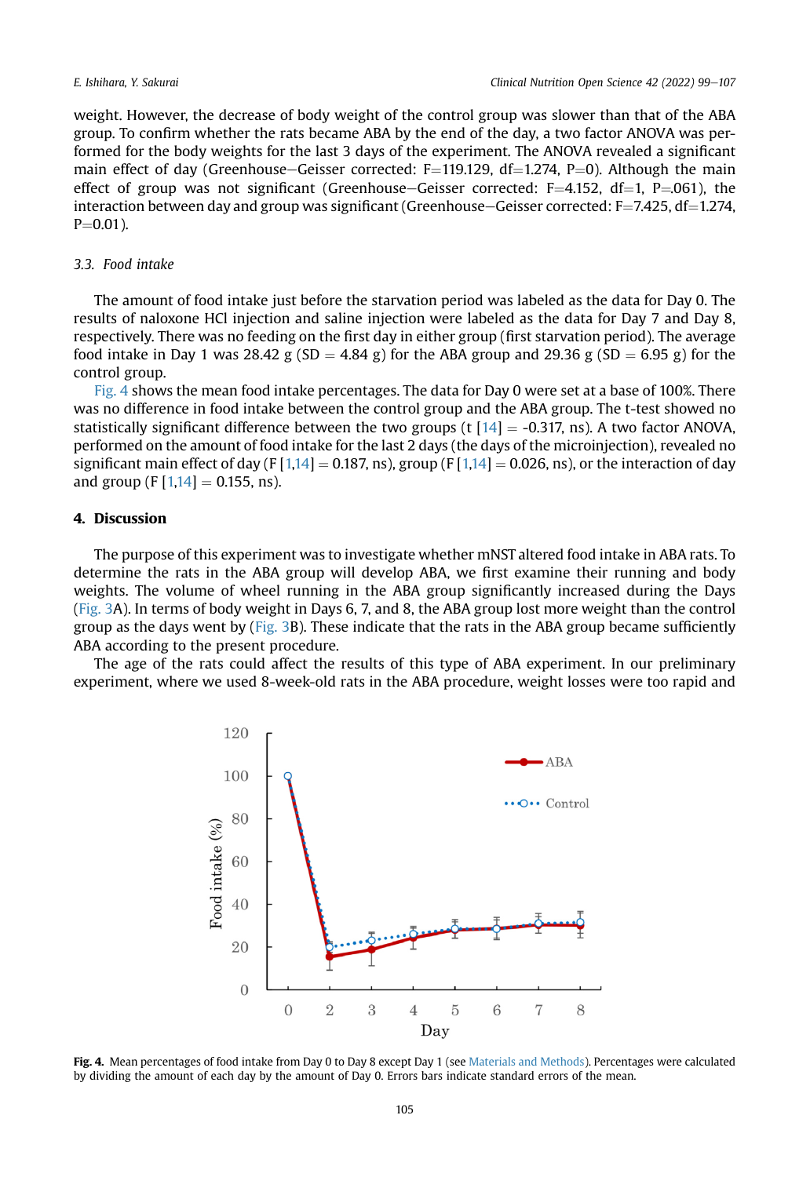weight. However, the decrease of body weight of the control group was slower than that of the ABA group. To confirm whether the rats became ABA by the end of the day, a two factor ANOVA was performed for the body weights for the last 3 days of the experiment. The ANOVA revealed a significant main effect of day (Greenhouse–Geisser corrected: F=119.129, df=1.274, P=0). Although the main effect of group was not significant (Greenhouse–Geisser corrected:  $F=4.152$ , df=1, P=061), the interaction between day and group was significant (Greenhouse–Geisser corrected: F=7.425, df=1.274,  $P = 0.01$ ).

#### 3.3. Food intake

The amount of food intake just before the starvation period was labeled as the data for Day 0. The results of naloxone HCl injection and saline injection were labeled as the data for Day 7 and Day 8, respectively. There was no feeding on the first day in either group (first starvation period). The average food intake in Day 1 was 28.42 g (SD = 4.84 g) for the ABA group and 29.36 g (SD = 6.95 g) for the control group.

[Fig. 4](#page-6-0) shows the mean food intake percentages. The data for Day 0 were set at a base of 100%. There was no difference in food intake between the control group and the ABA group. The t-test showed no statistically significant difference between the two groups (t  $[14] = -0.317$  $[14] = -0.317$ , ns). A two factor ANOVA, performed on the amount of food intake for the last 2 days (the days of the microinjection), revealed no significant main effect of day (F  $[1,14] = 0.187$  $[1,14] = 0.187$  $[1,14] = 0.187$  $[1,14] = 0.187$ , ns), group (F  $[1,14] = 0.026$  $[1,14] = 0.026$  $[1,14] = 0.026$ , ns), or the interaction of day and group (F  $[1,14] = 0.155$  $[1,14] = 0.155$  $[1,14] = 0.155$ , ns).

### 4. Discussion

The purpose of this experiment was to investigate whether mNST altered food intake in ABA rats. To determine the rats in the ABA group will develop ABA, we first examine their running and body weights. The volume of wheel running in the ABA group significantly increased during the Days ([Fig. 3](#page-5-0)A). In terms of body weight in Days 6, 7, and 8, the ABA group lost more weight than the control group as the days went by  $(Fig. 3B)$  $(Fig. 3B)$ . These indicate that the rats in the ABA group became sufficiently ABA according to the present procedure.

<span id="page-6-0"></span>The age of the rats could affect the results of this type of ABA experiment. In our preliminary experiment, where we used 8-week-old rats in the ABA procedure, weight losses were too rapid and



Fig. 4. Mean percentages of food intake from Day 0 to Day 8 except Day 1 (see [Materials and Methods\)](#page-2-0). Percentages were calculated by dividing the amount of each day by the amount of Day 0. Errors bars indicate standard errors of the mean.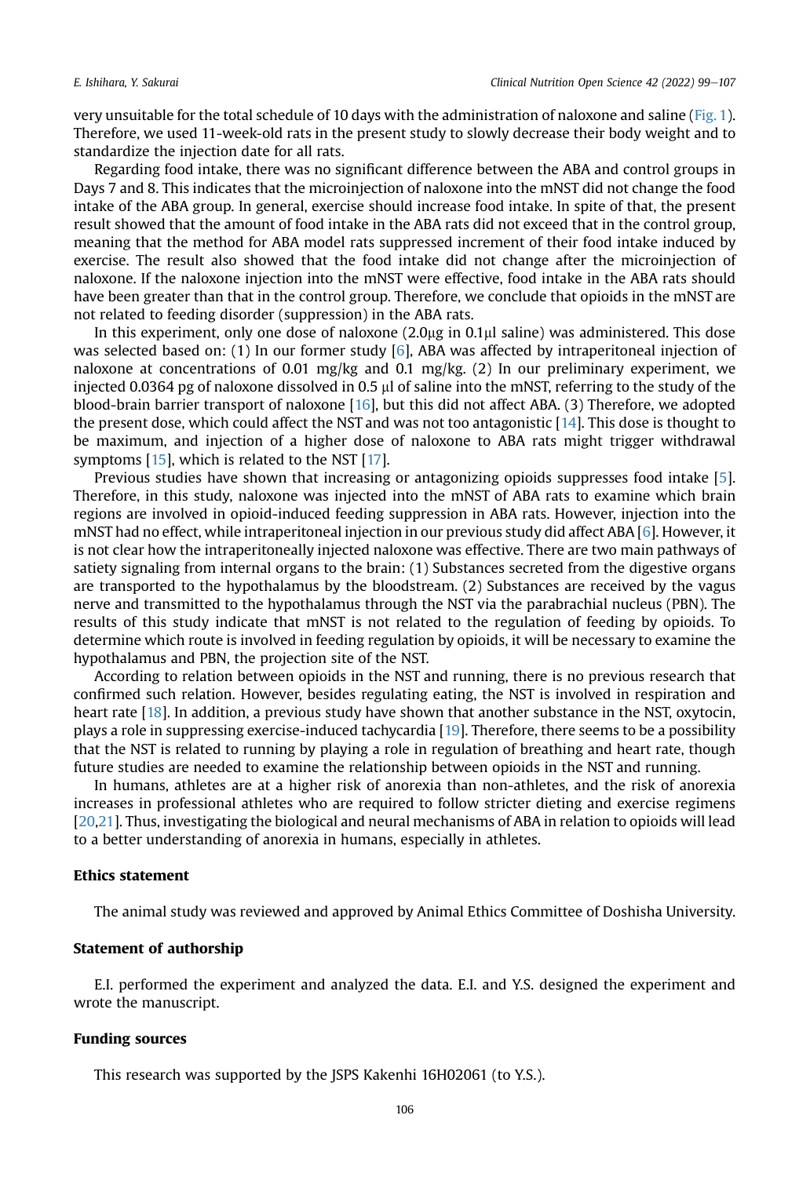very unsuitable for the total schedule of 10 days with the administration of naloxone and saline [\(Fig. 1](#page-3-0)). Therefore, we used 11-week-old rats in the present study to slowly decrease their body weight and to standardize the injection date for all rats.

Regarding food intake, there was no significant difference between the ABA and control groups in Days 7 and 8. This indicates that the microinjection of naloxone into the mNST did not change the food intake of the ABA group. In general, exercise should increase food intake. In spite of that, the present result showed that the amount of food intake in the ABA rats did not exceed that in the control group, meaning that the method for ABA model rats suppressed increment of their food intake induced by exercise. The result also showed that the food intake did not change after the microinjection of naloxone. If the naloxone injection into the mNST were effective, food intake in the ABA rats should have been greater than that in the control group. Therefore, we conclude that opioids in the mNST are not related to feeding disorder (suppression) in the ABA rats.

In this experiment, only one dose of naloxone  $(2.0\mu g \text{ in } 0.1\mu l \text{ saline})$  was administered. This dose was selected based on: (1) In our former study [\[6\]](#page-8-5), ABA was affected by intraperitoneal injection of naloxone at concentrations of 0.01 mg/kg and 0.1 mg/kg. (2) In our preliminary experiment, we injected 0.0364 pg of naloxone dissolved in 0.5  $\mu$  of saline into the mNST, referring to the study of the blood-brain barrier transport of naloxone [[16\]](#page-8-15), but this did not affect ABA. (3) Therefore, we adopted the present dose, which could affect the NST and was not too antagonistic [\[14](#page-8-13)]. This dose is thought to be maximum, and injection of a higher dose of naloxone to ABA rats might trigger withdrawal symptoms [\[15](#page-8-14)], which is related to the NST [[17\]](#page-8-16).

Previous studies have shown that increasing or antagonizing opioids suppresses food intake [[5](#page-8-4)]. Therefore, in this study, naloxone was injected into the mNST of ABA rats to examine which brain regions are involved in opioid-induced feeding suppression in ABA rats. However, injection into the mNST had no effect, while intraperitoneal injection in our previous study did affect ABA [\[6\]](#page-8-5). However, it is not clear how the intraperitoneally injected naloxone was effective. There are two main pathways of satiety signaling from internal organs to the brain: (1) Substances secreted from the digestive organs are transported to the hypothalamus by the bloodstream. (2) Substances are received by the vagus nerve and transmitted to the hypothalamus through the NST via the parabrachial nucleus (PBN). The results of this study indicate that mNST is not related to the regulation of feeding by opioids. To determine which route is involved in feeding regulation by opioids, it will be necessary to examine the hypothalamus and PBN, the projection site of the NST.

According to relation between opioids in the NST and running, there is no previous research that confirmed such relation. However, besides regulating eating, the NST is involved in respiration and heart rate [[18\]](#page-8-17). In addition, a previous study have shown that another substance in the NST, oxytocin, plays a role in suppressing exercise-induced tachycardia [[19\]](#page-8-18). Therefore, there seems to be a possibility that the NST is related to running by playing a role in regulation of breathing and heart rate, though future studies are needed to examine the relationship between opioids in the NST and running.

In humans, athletes are at a higher risk of anorexia than non-athletes, and the risk of anorexia increases in professional athletes who are required to follow stricter dieting and exercise regimens [\[20,](#page-8-19)[21\]](#page-8-20). Thus, investigating the biological and neural mechanisms of ABA in relation to opioids will lead to a better understanding of anorexia in humans, especially in athletes.

#### Ethics statement

The animal study was reviewed and approved by Animal Ethics Committee of Doshisha University.

#### Statement of authorship

E.I. performed the experiment and analyzed the data. E.I. and Y.S. designed the experiment and wrote the manuscript.

#### Funding sources

This research was supported by the JSPS Kakenhi 16H02061 (to Y.S.).